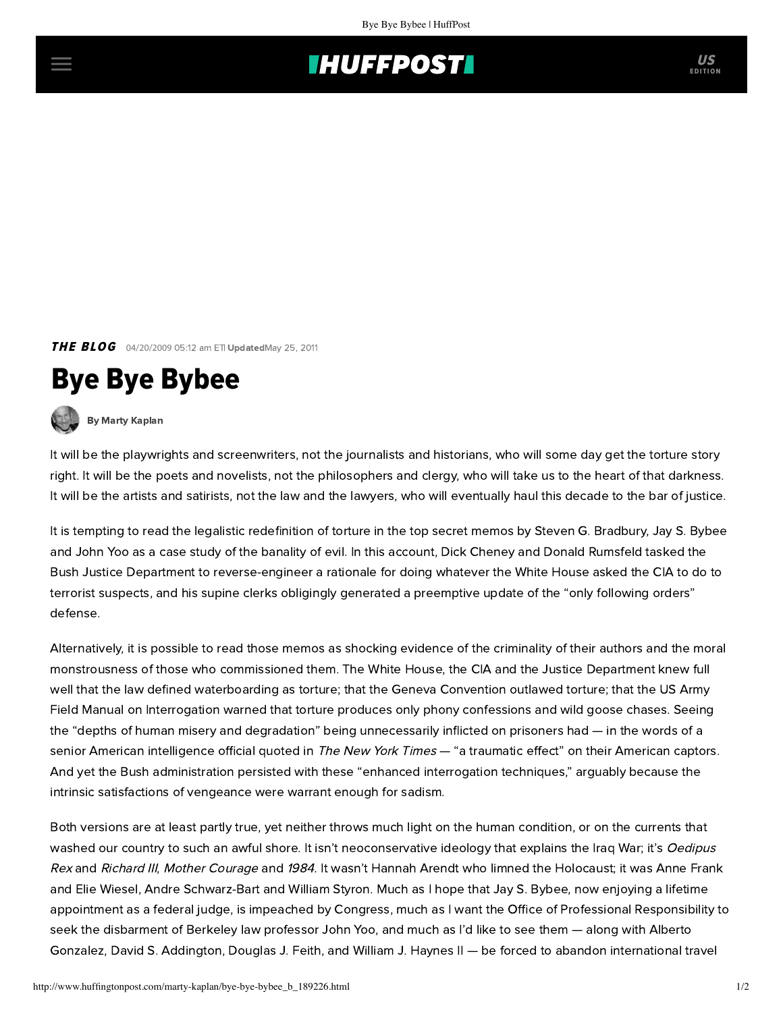## **INUFFPOSTI** US

**THE BLOG** 04/20/2009 05:12 am ETI UpdatedMay 25, 2011

## Bye Bye Bybee

[By Marty Kaplan](http://www.huffingtonpost.com/author/marty-kaplan)

It will be the playwrights and screenwriters, not the journalists and historians, who will some day get the torture story right. It will be the poets and novelists, not the philosophers and clergy, who will take us to the heart of that darkness. It will be the artists and satirists, not the law and the lawyers, who will eventually haul this decade to the bar of justice.

It is tempting to read the legalistic redefinition of torture in the top secret memos by Steven G. Bradbury, Jay S. Bybee and John Yoo as a case study of the banality of evil. In this account, Dick Cheney and Donald Rumsfeld tasked the Bush Justice Department to reverse-engineer a rationale for doing whatever the White House asked the CIA to do to terrorist suspects, and his supine clerks obligingly generated a preemptive update of the "only following orders" defense.

Alternatively, it is possible to read those memos as shocking evidence of the criminality of their authors and the moral monstrousness of those who commissioned them. The White House, the CIA and the Justice Department knew full well that the law defined waterboarding as torture; that the Geneva Convention outlawed torture; that the US Army Field Manual on Interrogation warned that torture produces only phony confessions and wild goose chases. Seeing the "depths of human misery and degradation" being unnecessarily inflicted on prisoners had — in the words of a senior American intelligence official quoted in The New [York Times](http://www.nytimes.com/2009/04/18/world/middleeast/18zubaydah.html?_r=1&scp=1&sq=the%20first%20use%20of%20waterboarding%20and%20other&st=cse) - "a traumatic effect" on their American captors. And yet the Bush administration persisted with these "enhanced interrogation techniques," arguably because the intrinsic satisfactions of vengeance were warrant enough for sadism.

Both versions are at least partly true, yet neither throws much light on the human condition, or on the currents that washed our country to such an awful shore. It isn't neoconservative ideology that explains the Iraq War; it's Oedipus Rex and Richard III, Mother Courage and 1984. It wasn't Hannah Arendt who limned the Holocaust; it was Anne Frank and Elie Wiesel, Andre Schwarz-Bart and William Styron. Much as I hope that Jay S. Bybee, now enjoying a lifetime appointment as a federal judge, is impeached by Congress, much as I want the Office of Professional Responsibility to seek the disbarment of Berkeley law professor John Yoo, and much as I'd like to see them — along with Alberto Gonzalez, David S. Addington, Douglas J. Feith, and William J. Haynes II — be forced to abandon international travel